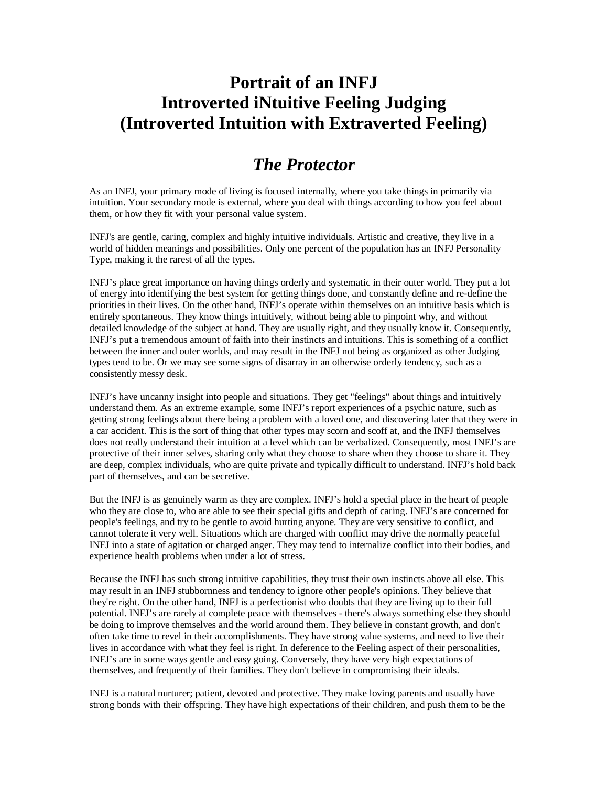# **Portrait of an INFJ Introverted iNtuitive Feeling Judging (Introverted Intuition with Extraverted Feeling)**

# *The Protector*

As an INFJ, your primary mode of living is focused internally, where you take things in primarily via intuition. Your secondary mode is external, where you deal with things according to how you feel about them, or how they fit with your personal value system.

INFJ's are gentle, caring, complex and highly intuitive individuals. Artistic and creative, they live in a world of hidden meanings and possibilities. Only one percent of the population has an INFJ Personality Type, making it the rarest of all the types.

INFJ's place great importance on having things orderly and systematic in their outer world. They put a lot of energy into identifying the best system for getting things done, and constantly define and re-define the priorities in their lives. On the other hand, INFJ's operate within themselves on an intuitive basis which is entirely spontaneous. They know things intuitively, without being able to pinpoint why, and without detailed knowledge of the subject at hand. They are usually right, and they usually know it. Consequently, INFJ's put a tremendous amount of faith into their instincts and intuitions. This is something of a conflict between the inner and outer worlds, and may result in the INFJ not being as organized as other Judging types tend to be. Or we may see some signs of disarray in an otherwise orderly tendency, such as a consistently messy desk.

INFJ's have uncanny insight into people and situations. They get "feelings" about things and intuitively understand them. As an extreme example, some INFJ's report experiences of a psychic nature, such as getting strong feelings about there being a problem with a loved one, and discovering later that they were in a car accident. This is the sort of thing that other types may scorn and scoff at, and the INFJ themselves does not really understand their intuition at a level which can be verbalized. Consequently, most INFJ's are protective of their inner selves, sharing only what they choose to share when they choose to share it. They are deep, complex individuals, who are quite private and typically difficult to understand. INFJ's hold back part of themselves, and can be secretive.

But the INFJ is as genuinely warm as they are complex. INFJ's hold a special place in the heart of people who they are close to, who are able to see their special gifts and depth of caring. INFJ's are concerned for people's feelings, and try to be gentle to avoid hurting anyone. They are very sensitive to conflict, and cannot tolerate it very well. Situations which are charged with conflict may drive the normally peaceful INFJ into a state of agitation or charged anger. They may tend to internalize conflict into their bodies, and experience health problems when under a lot of stress.

Because the INFJ has such strong intuitive capabilities, they trust their own instincts above all else. This may result in an INFJ stubbornness and tendency to ignore other people's opinions. They believe that they're right. On the other hand, INFJ is a perfectionist who doubts that they are living up to their full potential. INFJ's are rarely at complete peace with themselves - there's always something else they should be doing to improve themselves and the world around them. They believe in constant growth, and don't often take time to revel in their accomplishments. They have strong value systems, and need to live their lives in accordance with what they feel is right. In deference to the Feeling aspect of their personalities, INFJ's are in some ways gentle and easy going. Conversely, they have very high expectations of themselves, and frequently of their families. They don't believe in compromising their ideals.

INFJ is a natural nurturer; patient, devoted and protective. They make loving parents and usually have strong bonds with their offspring. They have high expectations of their children, and push them to be the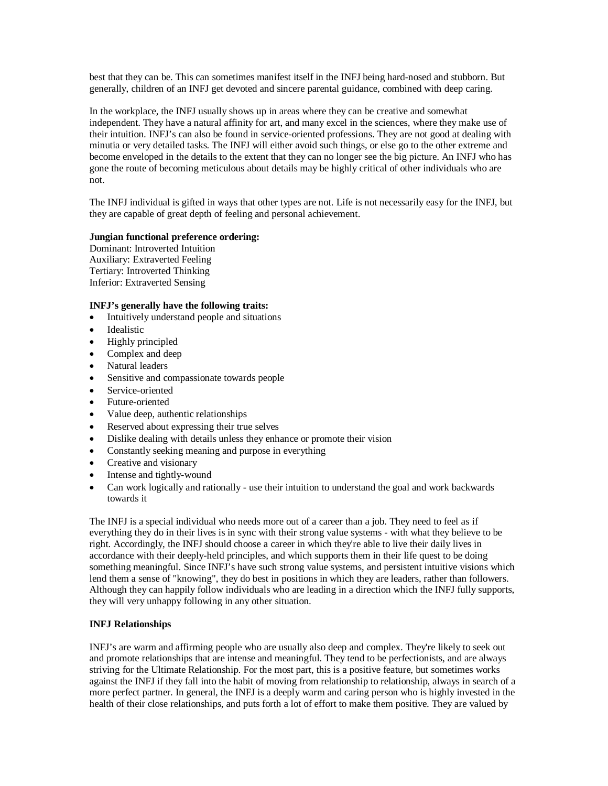best that they can be. This can sometimes manifest itself in the INFJ being hard-nosed and stubborn. But generally, children of an INFJ get devoted and sincere parental guidance, combined with deep caring.

In the workplace, the INFJ usually shows up in areas where they can be creative and somewhat independent. They have a natural affinity for art, and many excel in the sciences, where they make use of their intuition. INFJ's can also be found in service-oriented professions. They are not good at dealing with minutia or very detailed tasks. The INFJ will either avoid such things, or else go to the other extreme and become enveloped in the details to the extent that they can no longer see the big picture. An INFJ who has gone the route of becoming meticulous about details may be highly critical of other individuals who are not.

The INFJ individual is gifted in ways that other types are not. Life is not necessarily easy for the INFJ, but they are capable of great depth of feeling and personal achievement.

# **Jungian functional preference ordering:**

Dominant: Introverted Intuition Auxiliary: Extraverted Feeling Tertiary: Introverted Thinking Inferior: Extraverted Sensing

# **INFJ's generally have the following traits:**

- Intuitively understand people and situations
- Idealistic
- Highly principled
- Complex and deep
- Natural leaders
- Sensitive and compassionate towards people
- Service-oriented
- Future-oriented
- Value deep, authentic relationships
- Reserved about expressing their true selves
- Dislike dealing with details unless they enhance or promote their vision
- Constantly seeking meaning and purpose in everything
- Creative and visionary
- Intense and tightly-wound
- Can work logically and rationally use their intuition to understand the goal and work backwards towards it

The INFJ is a special individual who needs more out of a career than a job. They need to feel as if everything they do in their lives is in sync with their strong value systems - with what they believe to be right. Accordingly, the INFJ should choose a career in which they're able to live their daily lives in accordance with their deeply-held principles, and which supports them in their life quest to be doing something meaningful. Since INFJ's have such strong value systems, and persistent intuitive visions which lend them a sense of "knowing", they do best in positions in which they are leaders, rather than followers. Although they can happily follow individuals who are leading in a direction which the INFJ fully supports, they will very unhappy following in any other situation.

# **INFJ Relationships**

INFJ's are warm and affirming people who are usually also deep and complex. They're likely to seek out and promote relationships that are intense and meaningful. They tend to be perfectionists, and are always striving for the Ultimate Relationship. For the most part, this is a positive feature, but sometimes works against the INFJ if they fall into the habit of moving from relationship to relationship, always in search of a more perfect partner. In general, the INFJ is a deeply warm and caring person who is highly invested in the health of their close relationships, and puts forth a lot of effort to make them positive. They are valued by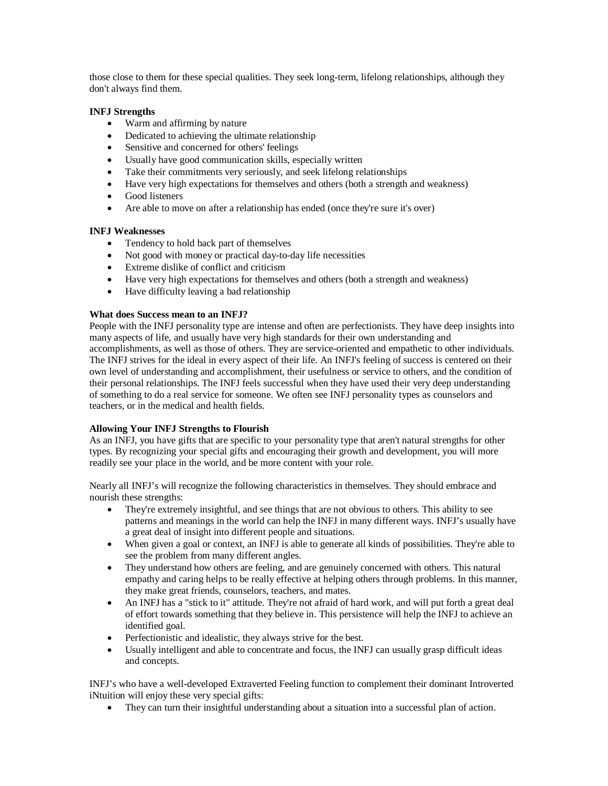those close to them for these special qualities. They seek long-term, lifelong relationships, although they don't always find them.

# **INFJ Strengths**

- Warm and affirming by nature
- Dedicated to achieving the ultimate relationship
- Sensitive and concerned for others' feelings
- Usually have good communication skills, especially written
- Take their commitments very seriously, and seek lifelong relationships
- Have very high expectations for themselves and others (both a strength and weakness)
- Good listeners
- Are able to move on after a relationship has ended (once they're sure it's over)

#### **INFJ Weaknesses**

- Tendency to hold back part of themselves
- Not good with money or practical day-to-day life necessities
- Extreme dislike of conflict and criticism
- Have very high expectations for themselves and others (both a strength and weakness)
- Have difficulty leaving a bad relationship

# **What does Success mean to an INFJ?**

People with the INFJ personality type are intense and often are perfectionists. They have deep insights into many aspects of life, and usually have very high standards for their own understanding and accomplishments, as well as those of others. They are service-oriented and empathetic to other individuals. The INFJ strives for the ideal in every aspect of their life. An INFJ's feeling of success is centered on their own level of understanding and accomplishment, their usefulness or service to others, and the condition of their personal relationships. The INFJ feels successful when they have used their very deep understanding of something to do a real service for someone. We often see INFJ personality types as counselors and teachers, or in the medical and health fields.

#### **Allowing Your INFJ Strengths to Flourish**

As an INFJ, you have gifts that are specific to your personality type that aren't natural strengths for other types. By recognizing your special gifts and encouraging their growth and development, you will more readily see your place in the world, and be more content with your role.

Nearly all INFJ's will recognize the following characteristics in themselves. They should embrace and nourish these strengths:

- They're extremely insightful, and see things that are not obvious to others. This ability to see patterns and meanings in the world can help the INFJ in many different ways. INFJ's usually have a great deal of insight into different people and situations.
- When given a goal or context, an INFJ is able to generate all kinds of possibilities. They're able to see the problem from many different angles.
- They understand how others are feeling, and are genuinely concerned with others. This natural empathy and caring helps to be really effective at helping others through problems. In this manner, they make great friends, counselors, teachers, and mates.
- An INFJ has a "stick to it" attitude. They're not afraid of hard work, and will put forth a great deal of effort towards something that they believe in. This persistence will help the INFJ to achieve an identified goal.
- Perfectionistic and idealistic, they always strive for the best.
- Usually intelligent and able to concentrate and focus, the INFJ can usually grasp difficult ideas and concepts.

INFJ's who have a well-developed Extraverted Feeling function to complement their dominant Introverted iNtuition will enjoy these very special gifts:

They can turn their insightful understanding about a situation into a successful plan of action.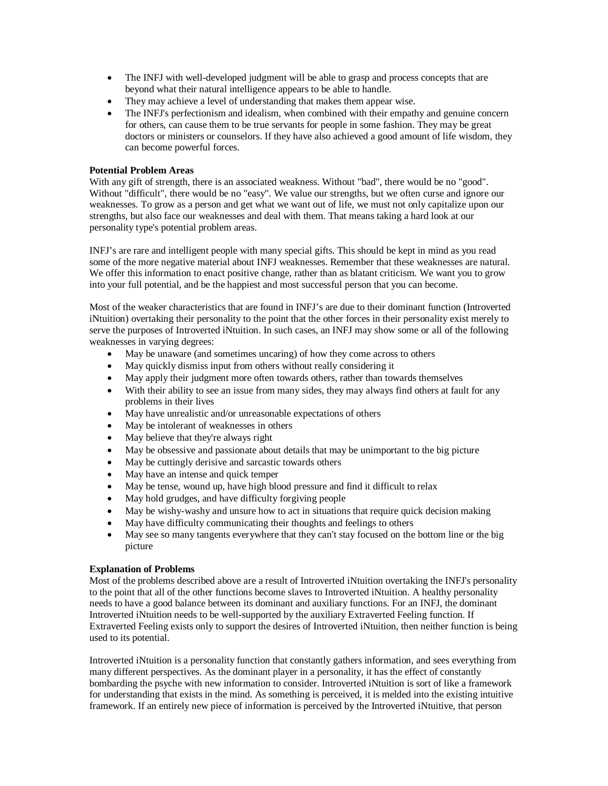- The INFJ with well-developed judgment will be able to grasp and process concepts that are beyond what their natural intelligence appears to be able to handle.
- They may achieve a level of understanding that makes them appear wise.
- The INFJ's perfectionism and idealism, when combined with their empathy and genuine concern for others, can cause them to be true servants for people in some fashion. They may be great doctors or ministers or counselors. If they have also achieved a good amount of life wisdom, they can become powerful forces.

## **Potential Problem Areas**

With any gift of strength, there is an associated weakness. Without "bad", there would be no "good". Without "difficult", there would be no "easy". We value our strengths, but we often curse and ignore our weaknesses. To grow as a person and get what we want out of life, we must not only capitalize upon our strengths, but also face our weaknesses and deal with them. That means taking a hard look at our personality type's potential problem areas.

INFJ's are rare and intelligent people with many special gifts. This should be kept in mind as you read some of the more negative material about INFJ weaknesses. Remember that these weaknesses are natural. We offer this information to enact positive change, rather than as blatant criticism. We want you to grow into your full potential, and be the happiest and most successful person that you can become.

Most of the weaker characteristics that are found in INFJ's are due to their dominant function (Introverted iNtuition) overtaking their personality to the point that the other forces in their personality exist merely to serve the purposes of Introverted iNtuition. In such cases, an INFJ may show some or all of the following weaknesses in varying degrees:

- May be unaware (and sometimes uncaring) of how they come across to others
- May quickly dismiss input from others without really considering it
- May apply their judgment more often towards others, rather than towards themselves
- With their ability to see an issue from many sides, they may always find others at fault for any problems in their lives
- May have unrealistic and/or unreasonable expectations of others
- May be intolerant of weaknesses in others
- May believe that they're always right
- May be obsessive and passionate about details that may be unimportant to the big picture
- May be cuttingly derisive and sarcastic towards others
- May have an intense and quick temper
- May be tense, wound up, have high blood pressure and find it difficult to relax
- May hold grudges, and have difficulty forgiving people
- May be wishy-washy and unsure how to act in situations that require quick decision making
- May have difficulty communicating their thoughts and feelings to others
- May see so many tangents everywhere that they can't stay focused on the bottom line or the big picture

#### **Explanation of Problems**

Most of the problems described above are a result of Introverted iNtuition overtaking the INFJ's personality to the point that all of the other functions become slaves to Introverted iNtuition. A healthy personality needs to have a good balance between its dominant and auxiliary functions. For an INFJ, the dominant Introverted iNtuition needs to be well-supported by the auxiliary Extraverted Feeling function. If Extraverted Feeling exists only to support the desires of Introverted iNtuition, then neither function is being used to its potential.

Introverted iNtuition is a personality function that constantly gathers information, and sees everything from many different perspectives. As the dominant player in a personality, it has the effect of constantly bombarding the psyche with new information to consider. Introverted iNtuition is sort of like a framework for understanding that exists in the mind. As something is perceived, it is melded into the existing intuitive framework. If an entirely new piece of information is perceived by the Introverted iNtuitive, that person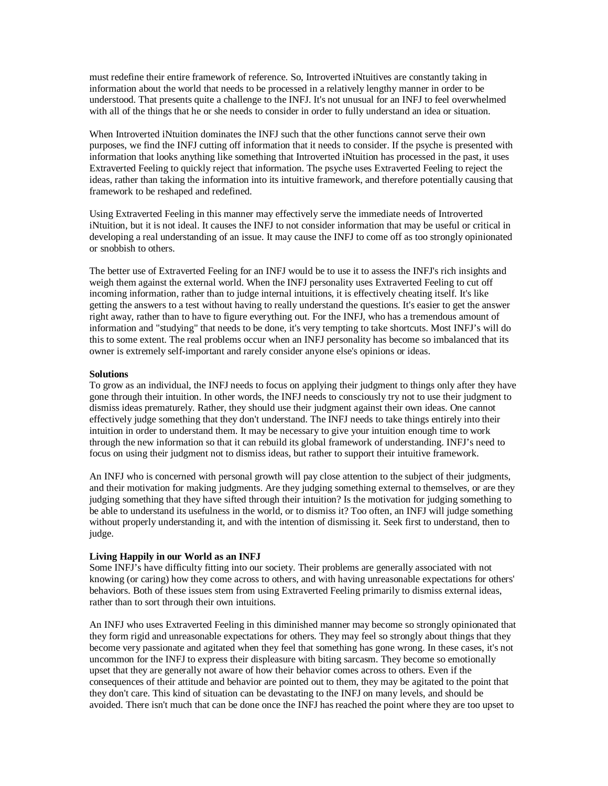must redefine their entire framework of reference. So, Introverted iNtuitives are constantly taking in information about the world that needs to be processed in a relatively lengthy manner in order to be understood. That presents quite a challenge to the INFJ. It's not unusual for an INFJ to feel overwhelmed with all of the things that he or she needs to consider in order to fully understand an idea or situation.

When Introverted iNtuition dominates the INFJ such that the other functions cannot serve their own purposes, we find the INFJ cutting off information that it needs to consider. If the psyche is presented with information that looks anything like something that Introverted iNtuition has processed in the past, it uses Extraverted Feeling to quickly reject that information. The psyche uses Extraverted Feeling to reject the ideas, rather than taking the information into its intuitive framework, and therefore potentially causing that framework to be reshaped and redefined.

Using Extraverted Feeling in this manner may effectively serve the immediate needs of Introverted iNtuition, but it is not ideal. It causes the INFJ to not consider information that may be useful or critical in developing a real understanding of an issue. It may cause the INFJ to come off as too strongly opinionated or snobbish to others.

The better use of Extraverted Feeling for an INFJ would be to use it to assess the INFJ's rich insights and weigh them against the external world. When the INFJ personality uses Extraverted Feeling to cut off incoming information, rather than to judge internal intuitions, it is effectively cheating itself. It's like getting the answers to a test without having to really understand the questions. It's easier to get the answer right away, rather than to have to figure everything out. For the INFJ, who has a tremendous amount of information and "studying" that needs to be done, it's very tempting to take shortcuts. Most INFJ's will do this to some extent. The real problems occur when an INFJ personality has become so imbalanced that its owner is extremely self-important and rarely consider anyone else's opinions or ideas.

#### **Solutions**

To grow as an individual, the INFJ needs to focus on applying their judgment to things only after they have gone through their intuition. In other words, the INFJ needs to consciously try not to use their judgment to dismiss ideas prematurely. Rather, they should use their judgment against their own ideas. One cannot effectively judge something that they don't understand. The INFJ needs to take things entirely into their intuition in order to understand them. It may be necessary to give your intuition enough time to work through the new information so that it can rebuild its global framework of understanding. INFJ's need to focus on using their judgment not to dismiss ideas, but rather to support their intuitive framework.

An INFJ who is concerned with personal growth will pay close attention to the subject of their judgments, and their motivation for making judgments. Are they judging something external to themselves, or are they judging something that they have sifted through their intuition? Is the motivation for judging something to be able to understand its usefulness in the world, or to dismiss it? Too often, an INFJ will judge something without properly understanding it, and with the intention of dismissing it. Seek first to understand, then to judge.

#### **Living Happily in our World as an INFJ**

Some INFJ's have difficulty fitting into our society. Their problems are generally associated with not knowing (or caring) how they come across to others, and with having unreasonable expectations for others' behaviors. Both of these issues stem from using Extraverted Feeling primarily to dismiss external ideas, rather than to sort through their own intuitions.

An INFJ who uses Extraverted Feeling in this diminished manner may become so strongly opinionated that they form rigid and unreasonable expectations for others. They may feel so strongly about things that they become very passionate and agitated when they feel that something has gone wrong. In these cases, it's not uncommon for the INFJ to express their displeasure with biting sarcasm. They become so emotionally upset that they are generally not aware of how their behavior comes across to others. Even if the consequences of their attitude and behavior are pointed out to them, they may be agitated to the point that they don't care. This kind of situation can be devastating to the INFJ on many levels, and should be avoided. There isn't much that can be done once the INFJ has reached the point where they are too upset to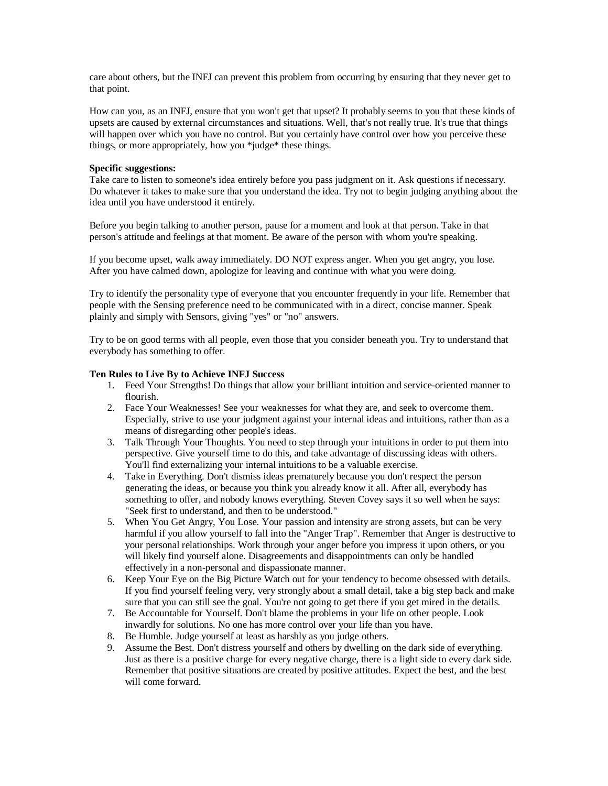care about others, but the INFJ can prevent this problem from occurring by ensuring that they never get to that point.

How can you, as an INFJ, ensure that you won't get that upset? It probably seems to you that these kinds of upsets are caused by external circumstances and situations. Well, that's not really true. It's true that things will happen over which you have no control. But you certainly have control over how you perceive these things, or more appropriately, how you \*judge\* these things.

#### **Specific suggestions:**

Take care to listen to someone's idea entirely before you pass judgment on it. Ask questions if necessary. Do whatever it takes to make sure that you understand the idea. Try not to begin judging anything about the idea until you have understood it entirely.

Before you begin talking to another person, pause for a moment and look at that person. Take in that person's attitude and feelings at that moment. Be aware of the person with whom you're speaking.

If you become upset, walk away immediately. DO NOT express anger. When you get angry, you lose. After you have calmed down, apologize for leaving and continue with what you were doing.

Try to identify the personality type of everyone that you encounter frequently in your life. Remember that people with the Sensing preference need to be communicated with in a direct, concise manner. Speak plainly and simply with Sensors, giving "yes" or "no" answers.

Try to be on good terms with all people, even those that you consider beneath you. Try to understand that everybody has something to offer.

# **Ten Rules to Live By to Achieve INFJ Success**

- 1. Feed Your Strengths! Do things that allow your brilliant intuition and service-oriented manner to flourish.
- 2. Face Your Weaknesses! See your weaknesses for what they are, and seek to overcome them. Especially, strive to use your judgment against your internal ideas and intuitions, rather than as a means of disregarding other people's ideas.
- 3. Talk Through Your Thoughts. You need to step through your intuitions in order to put them into perspective. Give yourself time to do this, and take advantage of discussing ideas with others. You'll find externalizing your internal intuitions to be a valuable exercise.
- 4. Take in Everything. Don't dismiss ideas prematurely because you don't respect the person generating the ideas, or because you think you already know it all. After all, everybody has something to offer, and nobody knows everything. Steven Covey says it so well when he says: "Seek first to understand, and then to be understood."
- 5. When You Get Angry, You Lose. Your passion and intensity are strong assets, but can be very harmful if you allow yourself to fall into the "Anger Trap". Remember that Anger is destructive to your personal relationships. Work through your anger before you impress it upon others, or you will likely find yourself alone. Disagreements and disappointments can only be handled effectively in a non-personal and dispassionate manner.
- 6. Keep Your Eye on the Big Picture Watch out for your tendency to become obsessed with details. If you find yourself feeling very, very strongly about a small detail, take a big step back and make sure that you can still see the goal. You're not going to get there if you get mired in the details.
- 7. Be Accountable for Yourself. Don't blame the problems in your life on other people. Look inwardly for solutions. No one has more control over your life than you have.
- 8. Be Humble. Judge yourself at least as harshly as you judge others.
- 9. Assume the Best. Don't distress yourself and others by dwelling on the dark side of everything. Just as there is a positive charge for every negative charge, there is a light side to every dark side. Remember that positive situations are created by positive attitudes. Expect the best, and the best will come forward.